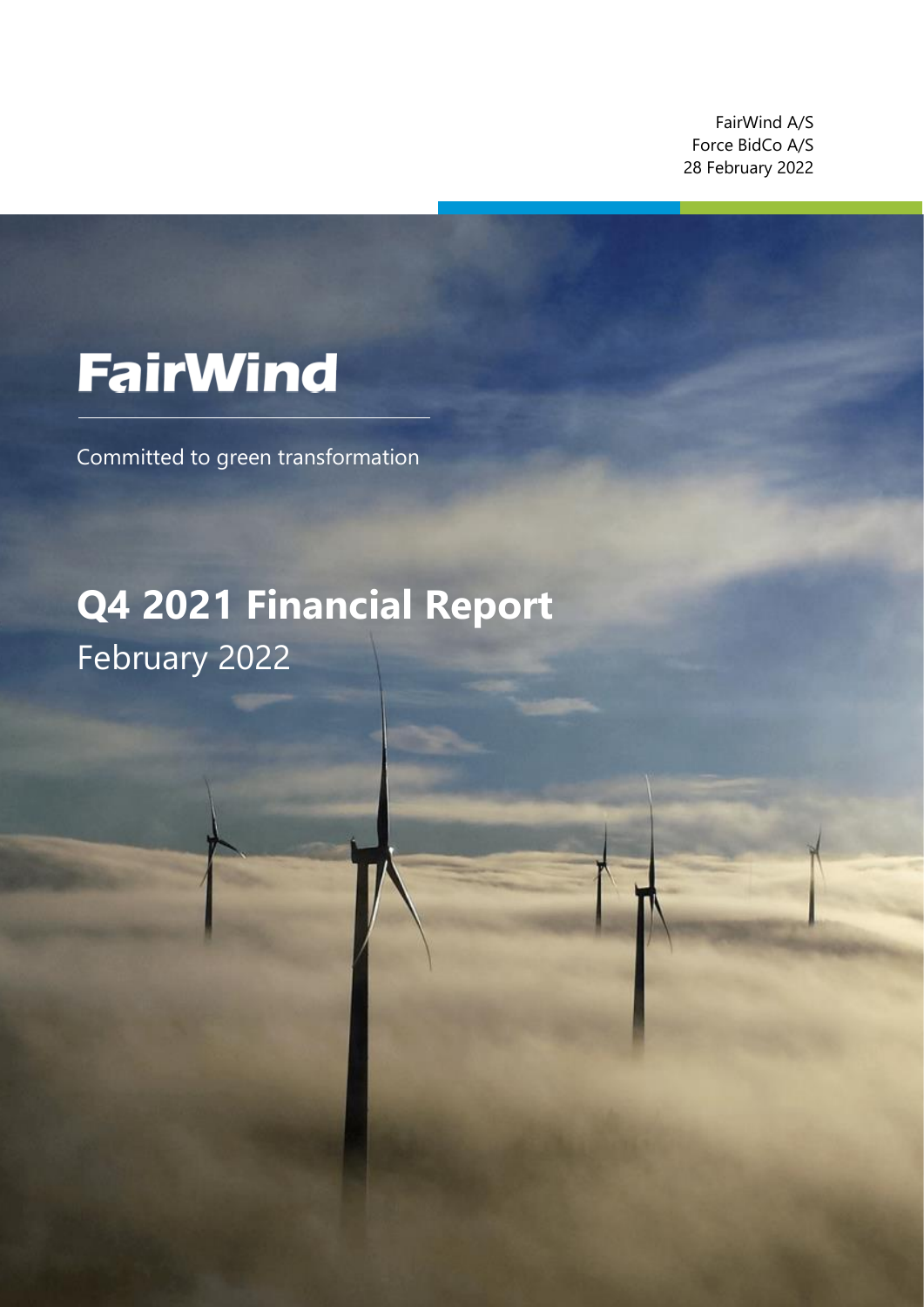FairWind A/S Force BidCo A/S 28 February 2022

z

# **FairWind**

Committed to green transformation

## **Q4 2021 Financial Report** February 2022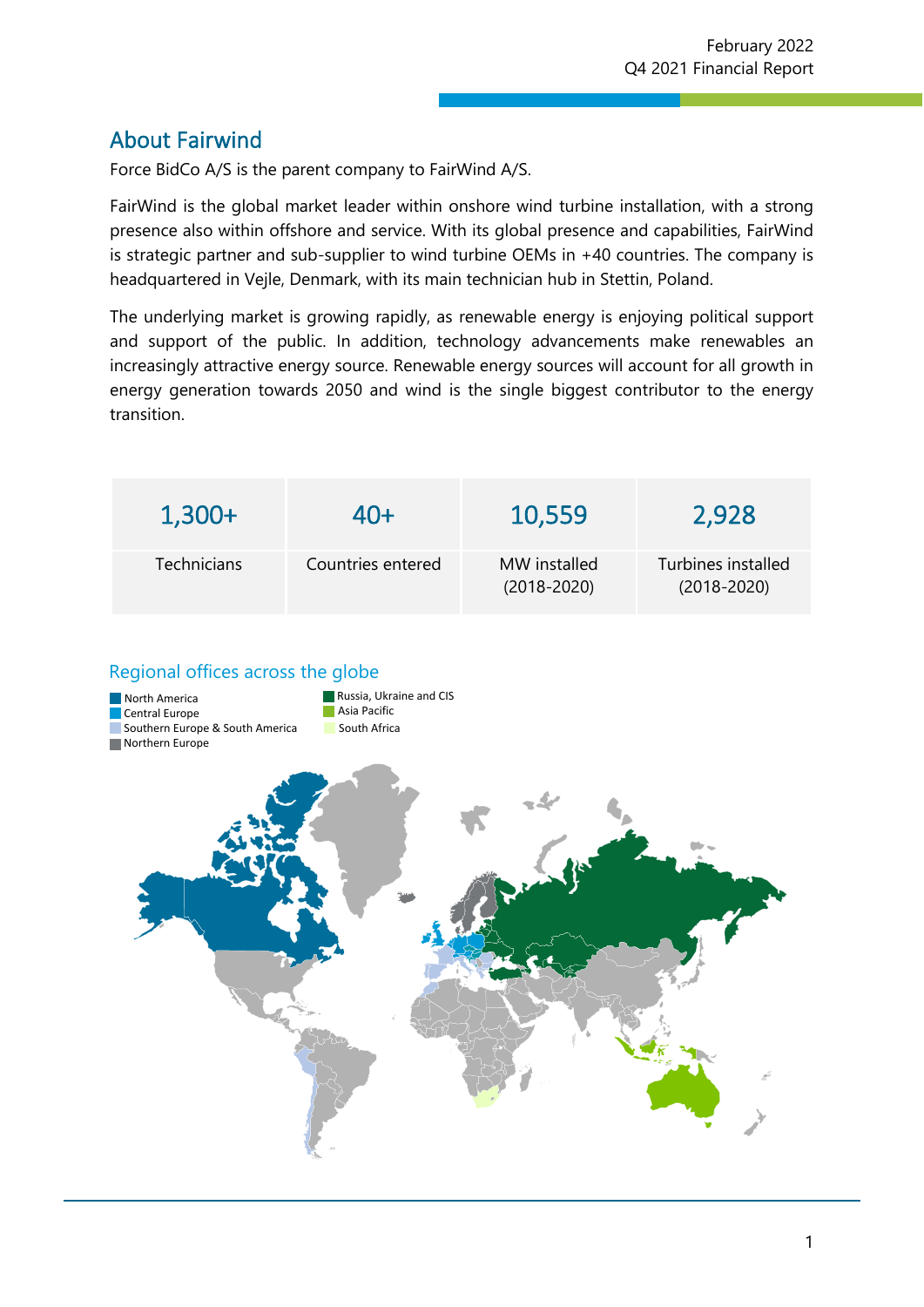## About Fairwind

Force BidCo A/S is the parent company to FairWind A/S.

FairWind is the global market leader within onshore wind turbine installation, with a strong presence also within offshore and service. With its global presence and capabilities, FairWind is strategic partner and sub-supplier to wind turbine OEMs in +40 countries. The company is headquartered in Vejle, Denmark, with its main technician hub in Stettin, Poland.

z

The underlying market is growing rapidly, as renewable energy is enjoying political support and support of the public. In addition, technology advancements make renewables an increasingly attractive energy source. Renewable energy sources will account for all growth in energy generation towards 2050 and wind is the single biggest contributor to the energy transition.

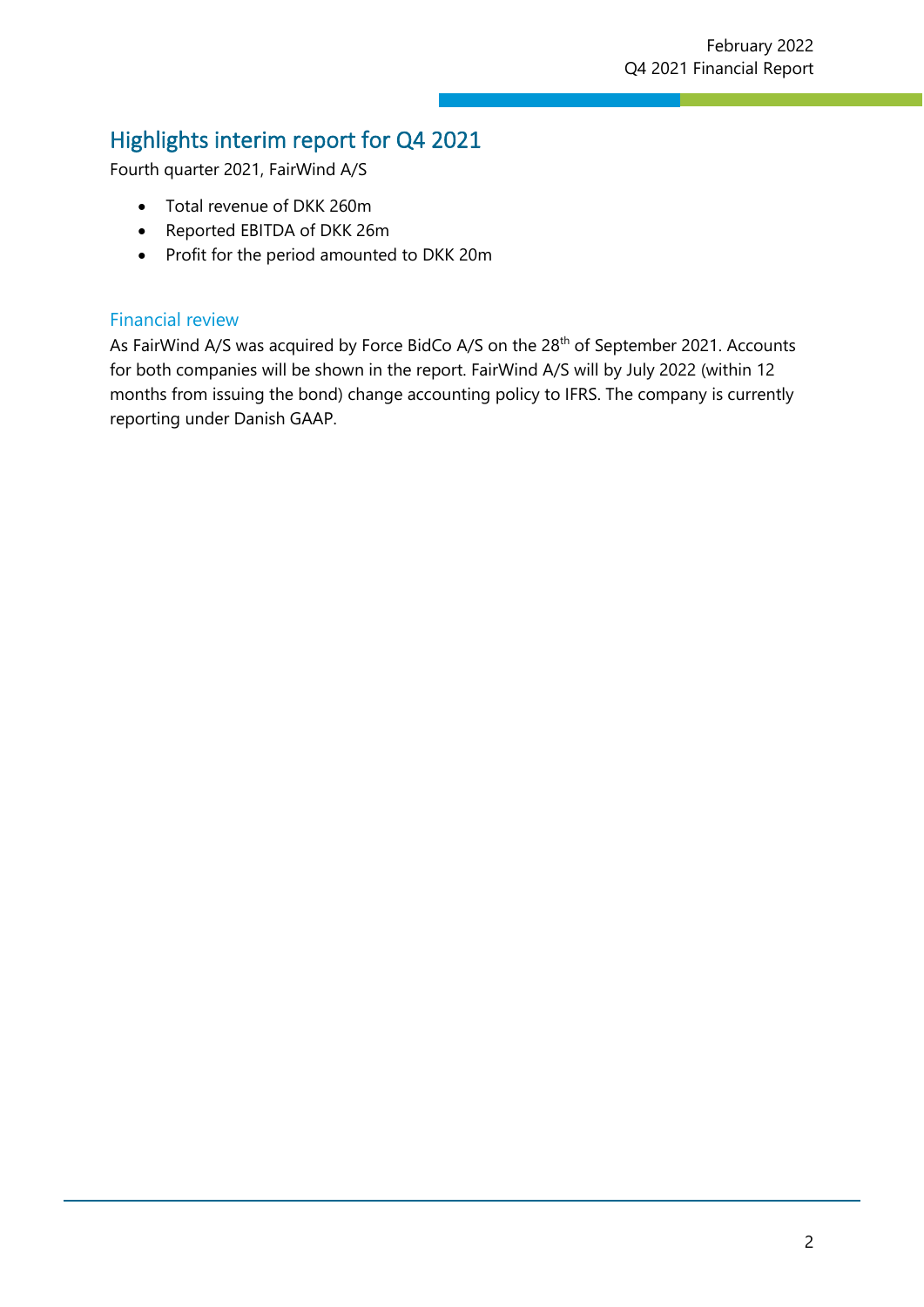## Highlights interim report for Q4 2021

Fourth quarter 2021, FairWind A/S

- Total revenue of DKK 260m
- Reported EBITDA of DKK 26m
- Profit for the period amounted to DKK 20m

#### Financial review

As FairWind A/S was acquired by Force BidCo A/S on the 28<sup>th</sup> of September 2021. Accounts for both companies will be shown in the report. FairWind A/S will by July 2022 (within 12 months from issuing the bond) change accounting policy to IFRS. The company is currently reporting under Danish GAAP.

z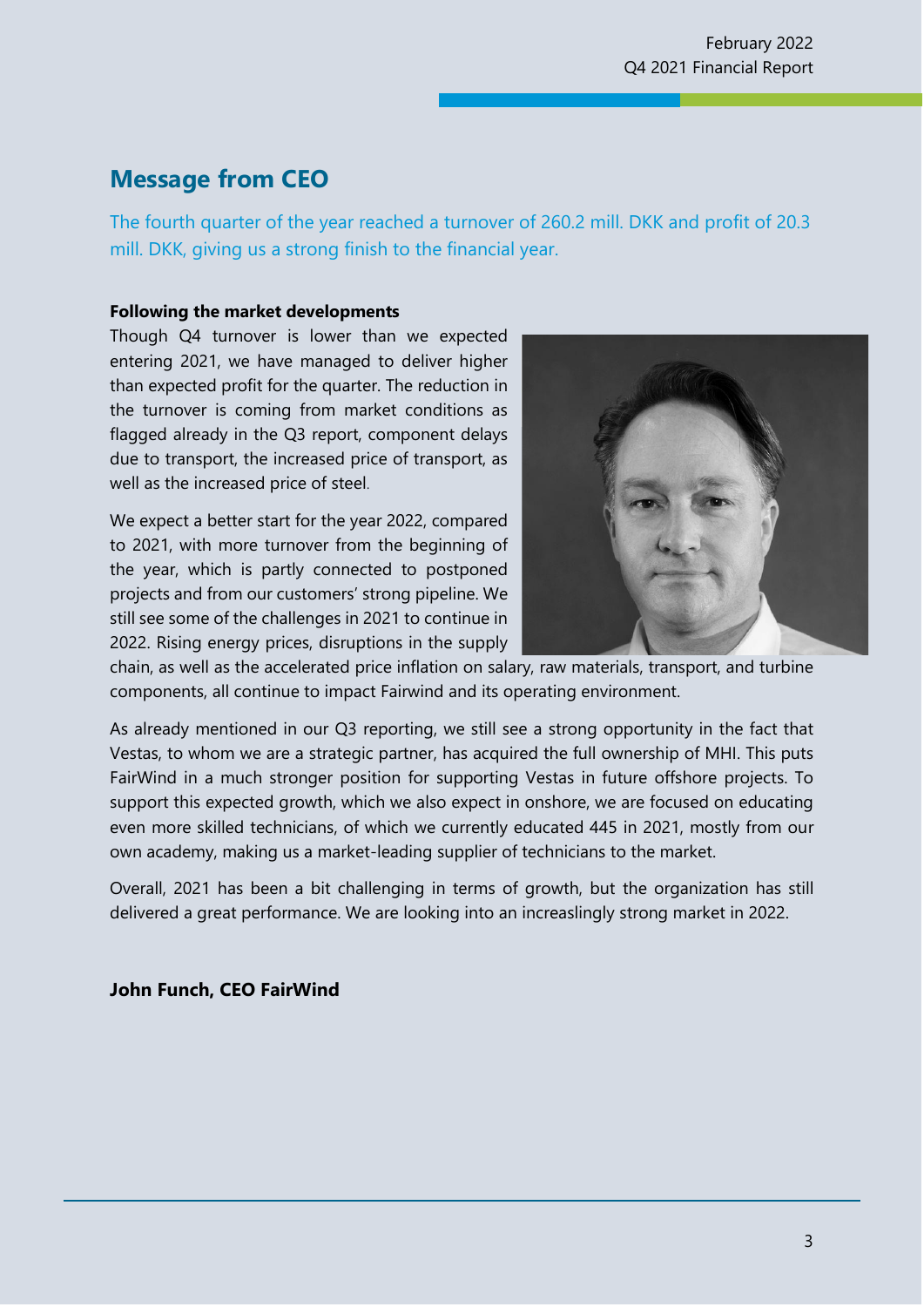## **Message from CEO**

The fourth quarter of the year reached a turnover of 260.2 mill. DKK and profit of 20.3 mill. DKK, giving us a strong finish to the financial year.

z

#### **Following the market developments**

Though Q4 turnover is lower than we expected entering 2021, we have managed to deliver higher than expected profit for the quarter. The reduction in the turnover is coming from market conditions as flagged already in the Q3 report, component delays due to transport, the increased price of transport, as well as the increased price of steel.

We expect a better start for the year 2022, compared to 2021, with more turnover from the beginning of the year, which is partly connected to postponed projects and from our customers' strong pipeline. We still see some of the challenges in 2021 to continue in 2022. Rising energy prices, disruptions in the supply



chain, as well as the accelerated price inflation on salary, raw materials, transport, and turbine components, all continue to impact Fairwind and its operating environment.

As already mentioned in our Q3 reporting, we still see a strong opportunity in the fact that Vestas, to whom we are a strategic partner, has acquired the full ownership of MHI. This puts FairWind in a much stronger position for supporting Vestas in future offshore projects. To support this expected growth, which we also expect in onshore, we are focused on educating even more skilled technicians, of which we currently educated 445 in 2021, mostly from our own academy, making us a market-leading supplier of technicians to the market.

Overall, 2021 has been a bit challenging in terms of growth, but the organization has still delivered a great performance. We are looking into an increaslingly strong market in 2022.

**John Funch, CEO FairWind**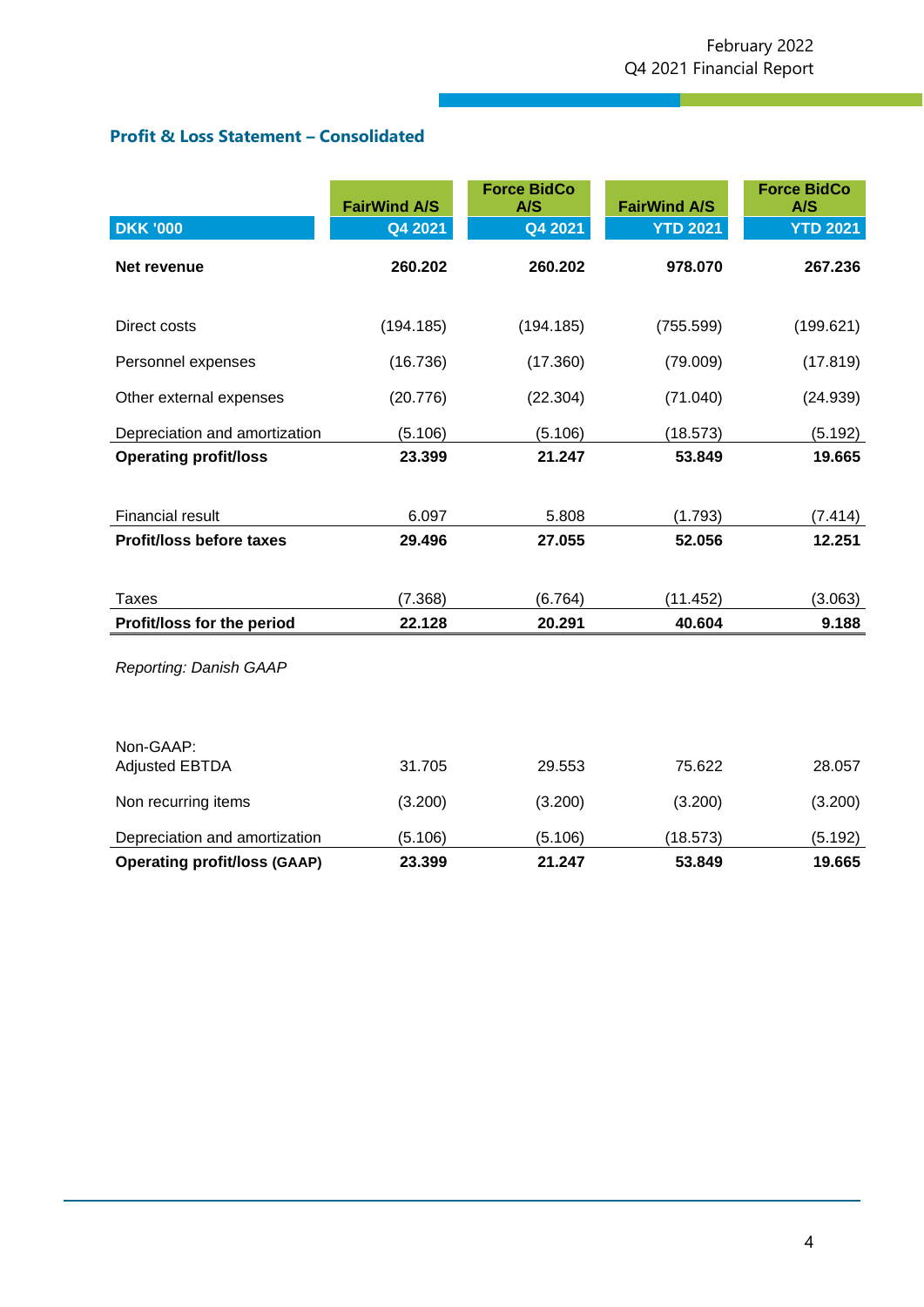## **Profit & Loss Statement – Consolidated**

|                                     | <b>FairWind A/S</b> | <b>Force BidCo</b><br>A/S | <b>FairWind A/S</b> | <b>Force BidCo</b><br>A/S |
|-------------------------------------|---------------------|---------------------------|---------------------|---------------------------|
| <b>DKK '000</b>                     | Q4 2021             | Q4 2021                   | <b>YTD 2021</b>     | <b>YTD 2021</b>           |
| Net revenue                         | 260.202             | 260.202                   | 978.070             | 267.236                   |
| Direct costs                        | (194.185)           | (194.185)                 | (755.599)           | (199.621)                 |
| Personnel expenses                  | (16.736)            | (17.360)                  | (79.009)            | (17.819)                  |
| Other external expenses             | (20.776)            | (22.304)                  | (71.040)            | (24.939)                  |
| Depreciation and amortization       | (5.106)             | (5.106)                   | (18.573)            | (5.192)                   |
| <b>Operating profit/loss</b>        | 23.399              | 21.247                    | 53.849              | 19.665                    |
|                                     |                     |                           |                     |                           |
| <b>Financial result</b>             | 6.097               | 5.808                     | (1.793)             | (7.414)                   |
| <b>Profit/loss before taxes</b>     | 29.496              | 27.055                    | 52.056              | 12.251                    |
|                                     |                     |                           |                     |                           |
| <b>Taxes</b>                        | (7.368)             | (6.764)                   | (11.452)            | (3.063)                   |
| Profit/loss for the period          | 22.128              | 20.291                    | 40.604              | 9.188                     |
| Reporting: Danish GAAP              |                     |                           |                     |                           |
| Non-GAAP:<br><b>Adjusted EBTDA</b>  | 31.705              | 29.553                    | 75.622              | 28.057                    |
| Non recurring items                 | (3.200)             | (3.200)                   | (3.200)             | (3.200)                   |
| Depreciation and amortization       | (5.106)             | (5.106)                   | (18.573)            | (5.192)                   |
| <b>Operating profit/loss (GAAP)</b> | 23.399              | 21.247                    | 53.849              | 19.665                    |

z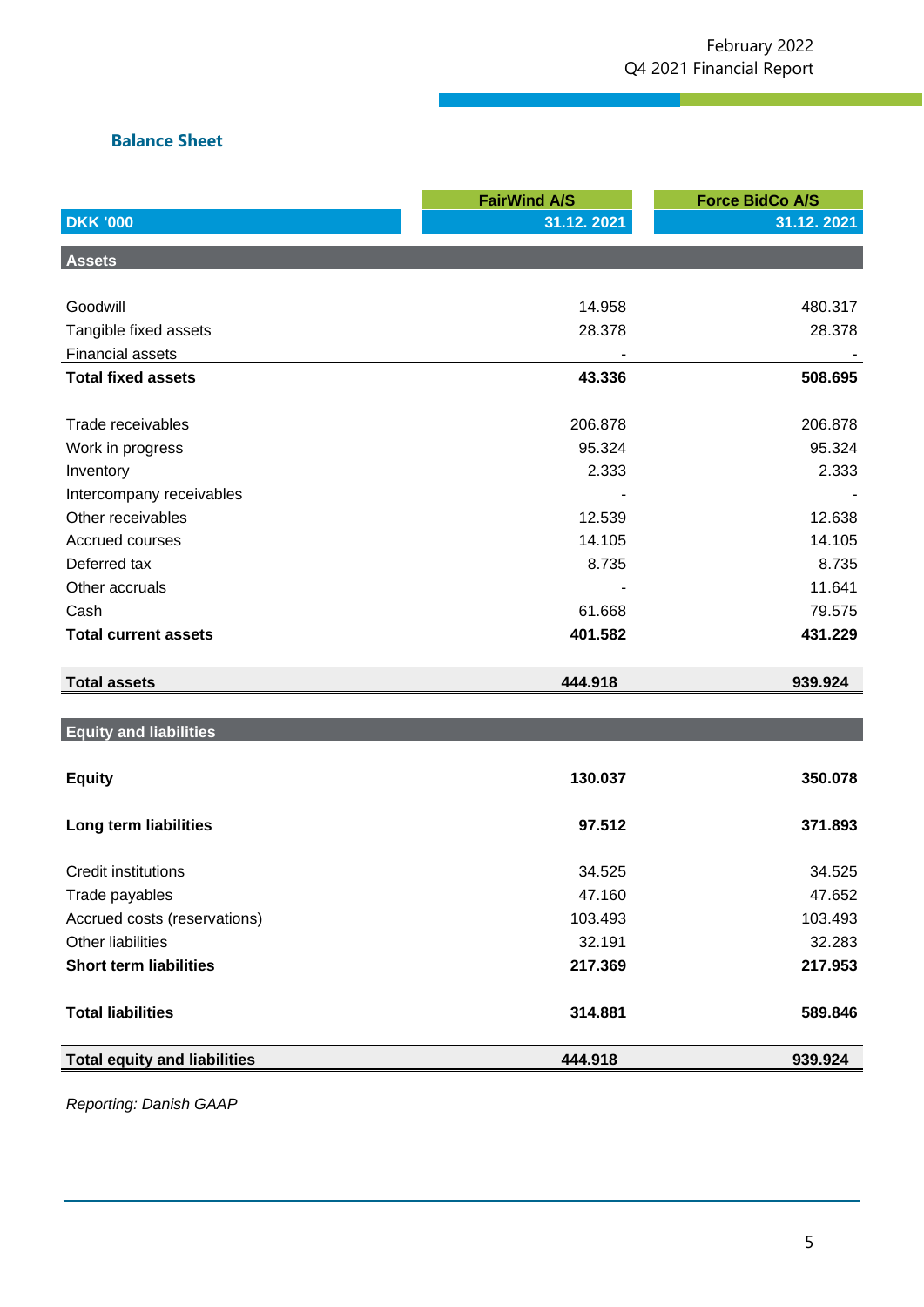z

## **Balance Sheet**

|                                     | <b>FairWind A/S</b> | <b>Force BidCo A/S</b> |
|-------------------------------------|---------------------|------------------------|
| <b>DKK '000</b>                     | 31.12.2021          | 31.12.2021             |
| <b>Assets</b>                       |                     |                        |
|                                     |                     |                        |
| Goodwill                            | 14.958              | 480.317                |
| Tangible fixed assets               | 28.378              | 28.378                 |
| <b>Financial assets</b>             |                     |                        |
| <b>Total fixed assets</b>           | 43.336              | 508.695                |
|                                     |                     |                        |
| Trade receivables                   | 206.878             | 206.878                |
| Work in progress                    | 95.324              | 95.324                 |
| Inventory                           | 2.333               | 2.333                  |
| Intercompany receivables            |                     |                        |
| Other receivables                   | 12.539              | 12.638                 |
| Accrued courses                     | 14.105              | 14.105                 |
| Deferred tax                        | 8.735               | 8.735                  |
| Other accruals                      |                     | 11.641                 |
| Cash                                | 61.668              | 79.575                 |
| <b>Total current assets</b>         | 401.582             | 431.229                |
| <b>Total assets</b>                 | 444.918             | 939.924                |
|                                     |                     |                        |
| <b>Equity and liabilities</b>       |                     |                        |
|                                     |                     |                        |
| <b>Equity</b>                       | 130.037             | 350.078                |
|                                     |                     |                        |
| Long term liabilities               | 97.512              | 371.893                |
| <b>Credit institutions</b>          | 34.525              | 34.525                 |
| Trade payables                      | 47.160              | 47.652                 |
| Accrued costs (reservations)        | 103.493             | 103.493                |
| Other liabilities                   | 32.191              | 32.283                 |
| <b>Short term liabilities</b>       | 217.369             | 217.953                |
|                                     |                     |                        |
| <b>Total liabilities</b>            | 314.881             | 589.846                |
| <b>Total equity and liabilities</b> | 444.918             | 939.924                |
|                                     |                     |                        |

*Reporting: Danish GAAP*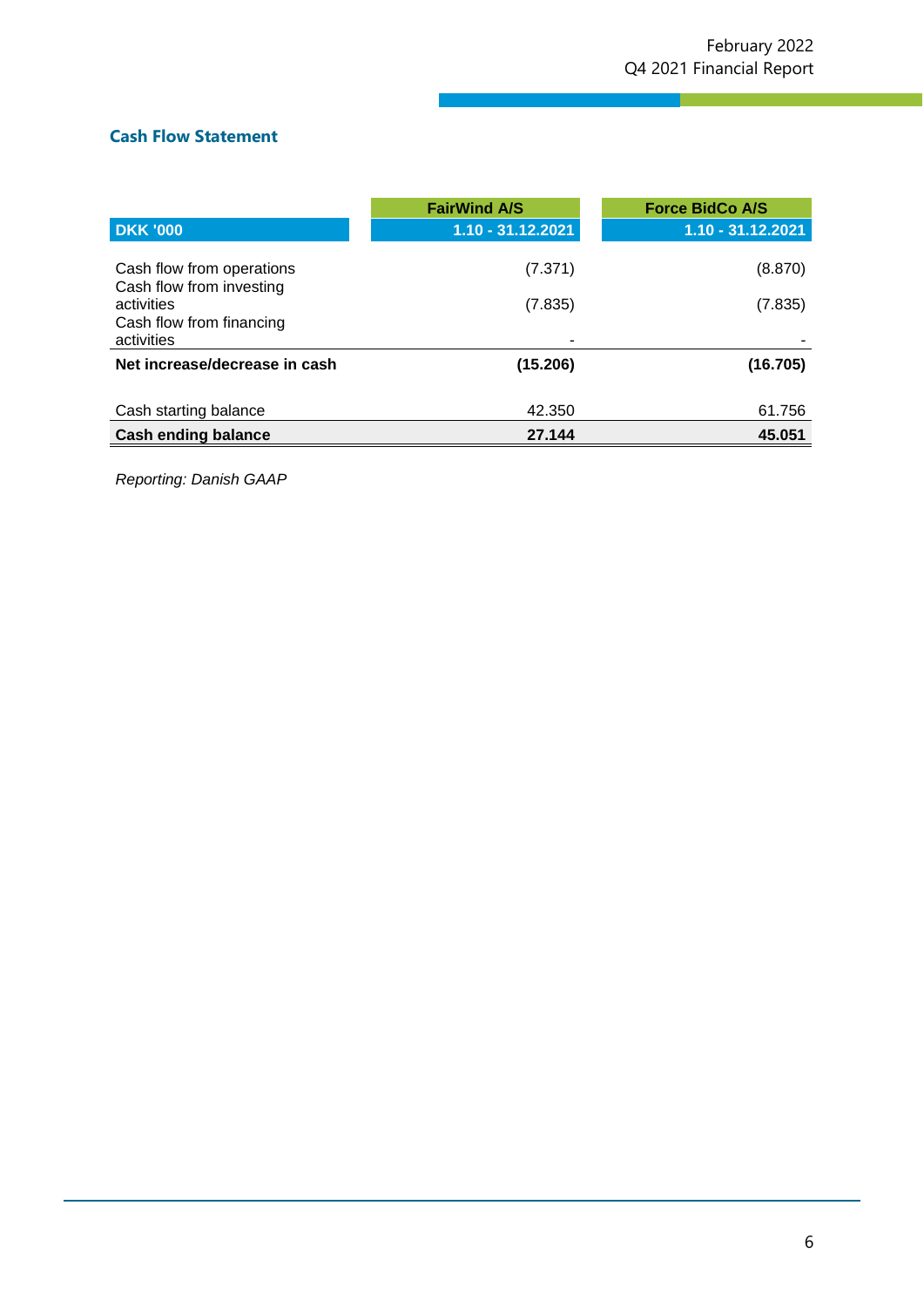#### **Cash Flow Statement**

|                                                       | <b>FairWind A/S</b> | <b>Force BidCo A/S</b> |
|-------------------------------------------------------|---------------------|------------------------|
| <b>DKK '000</b>                                       | $1.10 - 31.12.2021$ | $1.10 - 31.12.2021$    |
| Cash flow from operations<br>Cash flow from investing | (7.371)             | (8.870)                |
| activities<br>Cash flow from financing<br>activities  | (7.835)             | (7.835)                |
| Net increase/decrease in cash                         | (15.206)            | (16.705)               |
| Cash starting balance                                 | 42.350              | 61.756                 |
| <b>Cash ending balance</b>                            | 27.144              | 45.051                 |

z

*Reporting: Danish GAAP*